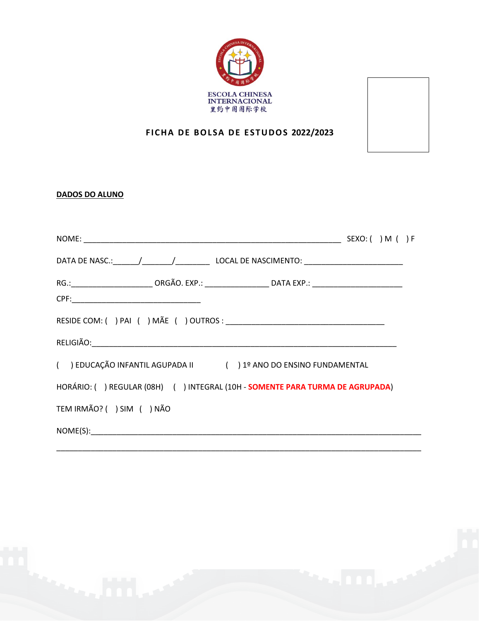

## **FICHA DE BOLSA DE ESTUDOS 2022/2023**

## **DADOS DO ALUNO**

| DATA DE NASC.: ______/_______/___________________ LOCAL DE NASCIMENTO: ____________________________  |  |
|------------------------------------------------------------------------------------------------------|--|
| RG.:____________________________ORGÃO. EXP.: ______________________DATA EXP.: ______________________ |  |
|                                                                                                      |  |
|                                                                                                      |  |
|                                                                                                      |  |
| () EDUCAÇÃO INFANTIL AGUPADA II () 1º ANO DO ENSINO FUNDAMENTAL                                      |  |
| HORÁRIO: () REGULAR (08H) () INTEGRAL (10H - SOMENTE PARA TURMA DE AGRUPADA)                         |  |
| TEM IRMÃO? () SIM () NÃO                                                                             |  |
|                                                                                                      |  |
|                                                                                                      |  |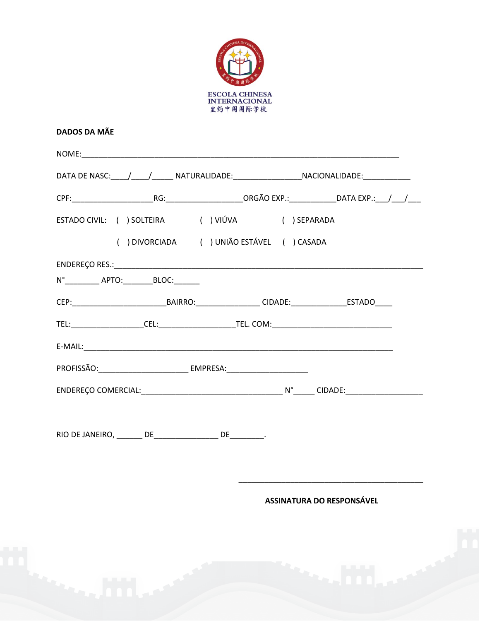

## **DADOS DA MÃE**

|                                                                                                       | DATA DE NASC:____/_____/________ NATURALIDADE:________________________NACIONALIDADE:_______________ |  |  |
|-------------------------------------------------------------------------------------------------------|-----------------------------------------------------------------------------------------------------|--|--|
|                                                                                                       |                                                                                                     |  |  |
| ESTADO CIVIL: ( ) SOLTEIRA ( ) VIÚVA ( ) SEPARADA                                                     |                                                                                                     |  |  |
| () DIVORCIADA () UNIÃO ESTÁVEL () CASADA                                                              |                                                                                                     |  |  |
|                                                                                                       |                                                                                                     |  |  |
| N° ____________ APTO:__________ BLOC:________                                                         |                                                                                                     |  |  |
| CEP:________________________________BAIRRO:___________________CIDADE:_____________________ESTADO_____ |                                                                                                     |  |  |
|                                                                                                       |                                                                                                     |  |  |
|                                                                                                       |                                                                                                     |  |  |
|                                                                                                       |                                                                                                     |  |  |
|                                                                                                       |                                                                                                     |  |  |
| RIO DE JANEIRO, _______ DE_________________ DE________.                                               |                                                                                                     |  |  |

ASSINATURA DO RESPONSÁVEL